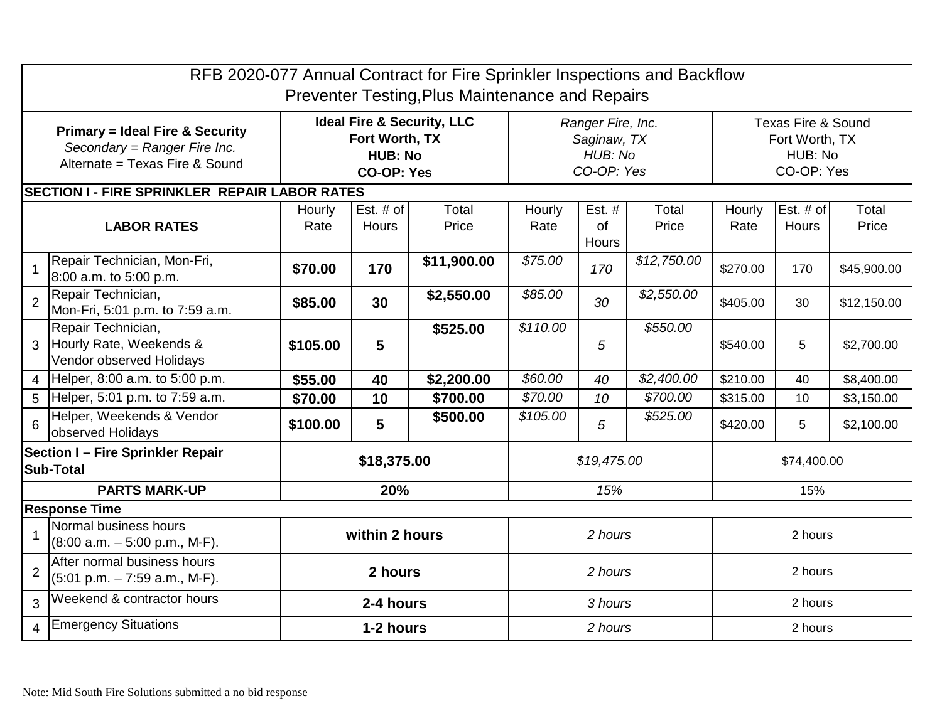| RFB 2020-077 Annual Contract for Fire Sprinkler Inspections and Backflow<br>Preventer Testing, Plus Maintenance and Repairs |                                                                                       |                                                                                                |                      |                |                                                           |                       |                |                                                               |                    |                |
|-----------------------------------------------------------------------------------------------------------------------------|---------------------------------------------------------------------------------------|------------------------------------------------------------------------------------------------|----------------------|----------------|-----------------------------------------------------------|-----------------------|----------------|---------------------------------------------------------------|--------------------|----------------|
| <b>Primary = Ideal Fire &amp; Security</b><br>Secondary = Ranger Fire Inc.<br>Alternate = Texas Fire & Sound                |                                                                                       | <b>Ideal Fire &amp; Security, LLC</b><br>Fort Worth, TX<br><b>HUB: No</b><br><b>CO-OP: Yes</b> |                      |                | Ranger Fire, Inc.<br>Saginaw, TX<br>HUB: No<br>CO-OP: Yes |                       |                | Texas Fire & Sound<br>Fort Worth, TX<br>HUB: No<br>CO-OP: Yes |                    |                |
|                                                                                                                             | <b>SECTION I - FIRE SPRINKLER REPAIR LABOR RATES</b>                                  |                                                                                                |                      |                |                                                           |                       |                |                                                               |                    |                |
| <b>LABOR RATES</b>                                                                                                          |                                                                                       | Hourly<br>Rate                                                                                 | Est. $#$ of<br>Hours | Total<br>Price | Hourly<br>Rate                                            | Est. #<br>of<br>Hours | Total<br>Price | Hourly<br>Rate                                                | Est. # of<br>Hours | Total<br>Price |
|                                                                                                                             | Repair Technician, Mon-Fri,<br>8:00 a.m. to 5:00 p.m.                                 | \$70.00                                                                                        | 170                  | \$11,900.00    | \$75.00                                                   | 170                   | \$12,750.00    | \$270.00                                                      | 170                | \$45,900.00    |
| $\overline{2}$                                                                                                              | Repair Technician,<br>Mon-Fri, 5:01 p.m. to 7:59 a.m.                                 | \$85.00                                                                                        | 30                   | \$2,550.00     | \$85.00                                                   | 30                    | \$2,550.00     | \$405.00                                                      | 30                 | \$12,150.00    |
| 3                                                                                                                           | Repair Technician,<br>Hourly Rate, Weekends &<br>Vendor observed Holidays             | \$105.00                                                                                       | 5                    | \$525.00       | \$110.00                                                  | 5                     | \$550.00       | \$540.00                                                      | 5                  | \$2,700.00     |
| $\overline{4}$                                                                                                              | Helper, 8:00 a.m. to 5:00 p.m.                                                        | \$55.00                                                                                        | 40                   | \$2,200.00     | \$60.00                                                   | 40                    | \$2,400.00     | \$210.00                                                      | 40                 | \$8,400.00     |
| 5                                                                                                                           | Helper, 5:01 p.m. to 7:59 a.m.                                                        | \$70.00                                                                                        | 10                   | \$700.00       | \$70.00                                                   | 10                    | \$700.00       | \$315.00                                                      | 10                 | \$3,150.00     |
| 6                                                                                                                           | Helper, Weekends & Vendor<br>observed Holidays                                        | \$100.00                                                                                       | 5                    | \$500.00       | \$105.00                                                  | 5                     | \$525.00       | \$420.00                                                      | 5                  | \$2,100.00     |
| Section I - Fire Sprinkler Repair<br><b>Sub-Total</b>                                                                       |                                                                                       | \$18,375.00                                                                                    |                      |                | \$19,475.00                                               |                       |                | \$74,400.00                                                   |                    |                |
| <b>PARTS MARK-UP</b>                                                                                                        |                                                                                       | 20%                                                                                            |                      |                | 15%                                                       |                       |                | 15%                                                           |                    |                |
| <b>Response Time</b>                                                                                                        |                                                                                       |                                                                                                |                      |                |                                                           |                       |                |                                                               |                    |                |
|                                                                                                                             | Normal business hours<br>$(8:00 a.m. - 5:00 p.m., M-F).$                              | within 2 hours                                                                                 |                      |                | 2 hours                                                   |                       |                | 2 hours                                                       |                    |                |
| $\overline{2}$                                                                                                              | After normal business hours<br>$(5:01 \text{ p.m.} - 7:59 \text{ a.m.}, \text{M-F}).$ | 2 hours                                                                                        |                      |                | 2 hours                                                   |                       |                | 2 hours                                                       |                    |                |
| 3                                                                                                                           | Weekend & contractor hours                                                            | 2-4 hours                                                                                      |                      |                | 3 hours                                                   |                       |                | 2 hours                                                       |                    |                |
| $\mathbf{\Lambda}$                                                                                                          | <b>Emergency Situations</b>                                                           | 1-2 hours                                                                                      |                      |                | 2 hours                                                   |                       |                | 2 hours                                                       |                    |                |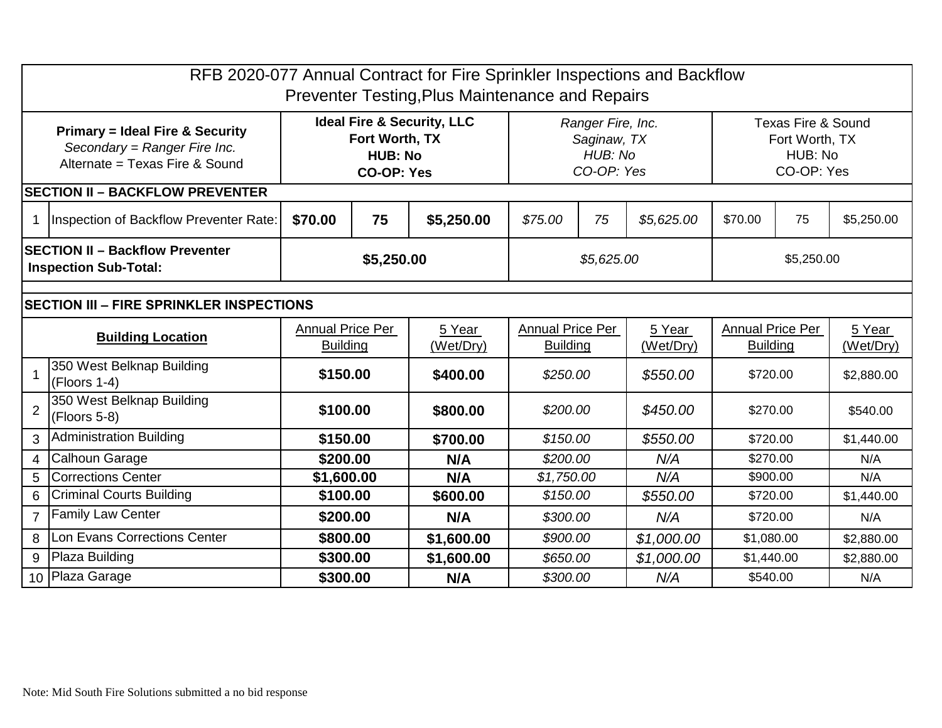| RFB 2020-077 Annual Contract for Fire Sprinkler Inspections and Backflow<br>Preventer Testing, Plus Maintenance and Repairs |                                             |                                                                                                |    |            |                                                           |    |            |                                                               |    |            |
|-----------------------------------------------------------------------------------------------------------------------------|---------------------------------------------|------------------------------------------------------------------------------------------------|----|------------|-----------------------------------------------------------|----|------------|---------------------------------------------------------------|----|------------|
| <b>Primary = Ideal Fire &amp; Security</b><br>Secondary = Ranger Fire Inc.<br>Alternate = Texas Fire & Sound                |                                             | <b>Ideal Fire &amp; Security, LLC</b><br>Fort Worth, TX<br><b>HUB: No</b><br><b>CO-OP: Yes</b> |    |            | Ranger Fire, Inc.<br>Saginaw, TX<br>HUB: No<br>CO-OP: Yes |    |            | Texas Fire & Sound<br>Fort Worth, TX<br>HUB: No<br>CO-OP: Yes |    |            |
|                                                                                                                             | <b>SECTION II - BACKFLOW PREVENTER</b>      |                                                                                                |    |            |                                                           |    |            |                                                               |    |            |
| 1                                                                                                                           | Inspection of Backflow Preventer Rate:      | \$70.00                                                                                        | 75 | \$5,250.00 | \$75.00                                                   | 75 | \$5,625.00 | \$70.00                                                       | 75 | \$5,250.00 |
| <b>SECTION II - Backflow Preventer</b><br><b>Inspection Sub-Total:</b>                                                      |                                             | \$5,250.00                                                                                     |    |            | \$5,625.00                                                |    |            | \$5,250.00                                                    |    |            |
|                                                                                                                             |                                             |                                                                                                |    |            |                                                           |    |            |                                                               |    |            |
| <b>SECTION III - FIRE SPRINKLER INSPECTIONS</b>                                                                             |                                             |                                                                                                |    |            |                                                           |    |            |                                                               |    |            |
| <b>Building Location</b>                                                                                                    |                                             | <b>Annual Price Per</b>                                                                        |    | 5 Year     | <b>Annual Price Per</b>                                   |    | 5 Year     | <b>Annual Price Per</b>                                       |    | 5 Year     |
|                                                                                                                             |                                             | <b>Building</b>                                                                                |    | (Wet/Dry)  | <b>Building</b>                                           |    | (Wet/Dry)  | <b>Building</b>                                               |    | (Wet/Dry)  |
|                                                                                                                             | 350 West Belknap Building<br>$(Floors 1-4)$ | \$150.00                                                                                       |    | \$400.00   | \$250.00                                                  |    | \$550.00   | \$720.00                                                      |    | \$2,880.00 |
| $\overline{2}$                                                                                                              | 350 West Belknap Building<br>$(Floors 5-8)$ | \$100.00                                                                                       |    | \$800.00   | \$200.00                                                  |    | \$450.00   | \$270.00                                                      |    | \$540.00   |
| 3                                                                                                                           | <b>Administration Building</b>              | \$150.00                                                                                       |    | \$700.00   | \$150.00                                                  |    | \$550.00   | \$720.00                                                      |    | \$1,440.00 |
| 4                                                                                                                           | <b>Calhoun Garage</b>                       | \$200.00                                                                                       |    | N/A        | \$200.00                                                  |    | N/A        | \$270.00                                                      |    | N/A        |
| 5                                                                                                                           | <b>Corrections Center</b>                   | \$1,600.00                                                                                     |    | N/A        | \$1,750.00                                                |    | N/A        | \$900.00                                                      |    | N/A        |
| 6                                                                                                                           | <b>Criminal Courts Building</b>             | \$100.00                                                                                       |    | \$600.00   | \$150.00                                                  |    | \$550.00   | \$720.00                                                      |    | \$1,440.00 |
| $\overline{7}$                                                                                                              | <b>Family Law Center</b>                    | \$200.00                                                                                       |    | N/A        | \$300.00                                                  |    | N/A        | \$720.00                                                      |    | N/A        |
| 8                                                                                                                           | Lon Evans Corrections Center                | \$800.00                                                                                       |    | \$1,600.00 | \$900.00                                                  |    | \$1,000.00 | \$1,080.00                                                    |    | \$2,880.00 |
| 9                                                                                                                           | Plaza Building                              | \$300.00                                                                                       |    | \$1,600.00 | \$650.00                                                  |    | \$1,000.00 | \$1,440.00                                                    |    | \$2,880.00 |
| 10 Plaza Garage                                                                                                             |                                             | \$300.00                                                                                       |    | N/A        | \$300.00                                                  |    | N/A        | \$540.00                                                      |    | N/A        |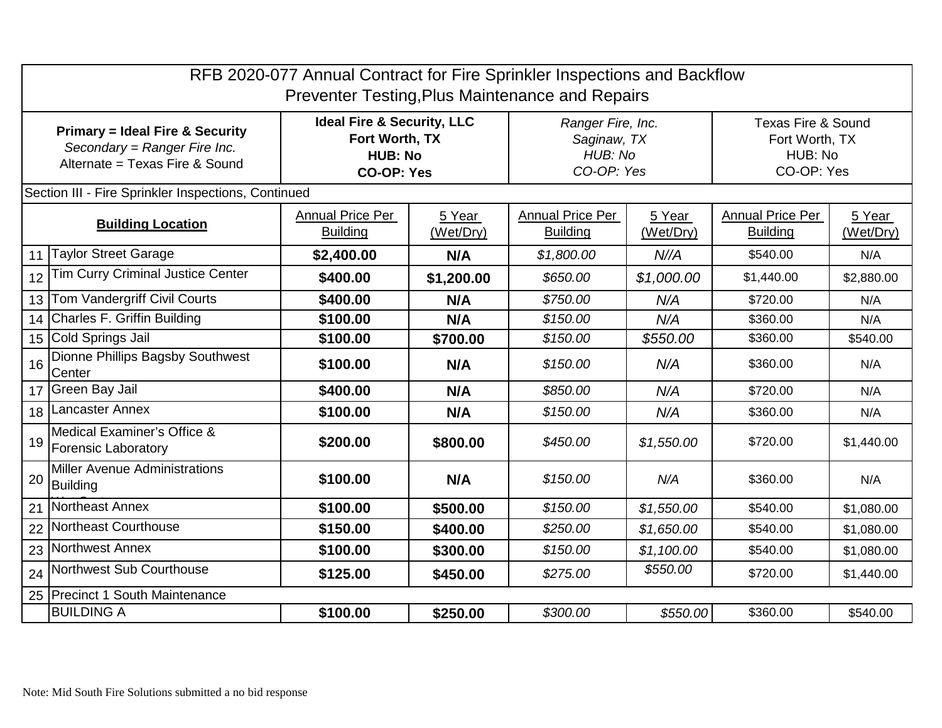| RFB 2020-077 Annual Contract for Fire Sprinkler Inspections and Backflow<br><b>Preventer Testing, Plus Maintenance and Repairs</b> |                                                           |                                                                                                |                     |                                                           |                     |                                                                          |                     |  |  |  |
|------------------------------------------------------------------------------------------------------------------------------------|-----------------------------------------------------------|------------------------------------------------------------------------------------------------|---------------------|-----------------------------------------------------------|---------------------|--------------------------------------------------------------------------|---------------------|--|--|--|
| <b>Primary = Ideal Fire &amp; Security</b><br>Secondary = Ranger Fire Inc.<br>Alternate = Texas Fire & Sound                       |                                                           | <b>Ideal Fire &amp; Security, LLC</b><br>Fort Worth, TX<br><b>HUB: No</b><br><b>CO-OP: Yes</b> |                     | Ranger Fire, Inc.<br>Saginaw, TX<br>HUB: No<br>CO-OP: Yes |                     | <b>Texas Fire &amp; Sound</b><br>Fort Worth, TX<br>HUB: No<br>CO-OP: Yes |                     |  |  |  |
|                                                                                                                                    | Section III - Fire Sprinkler Inspections, Continued       |                                                                                                |                     |                                                           |                     |                                                                          |                     |  |  |  |
| <b>Building Location</b>                                                                                                           |                                                           | <b>Annual Price Per</b><br><b>Building</b>                                                     | 5 Year<br>(Wet/Dry) | <b>Annual Price Per</b><br><b>Building</b>                | 5 Year<br>(Wet/Dry) | <b>Annual Price Per</b><br><b>Building</b>                               | 5 Year<br>(Wet/Dry) |  |  |  |
| 11                                                                                                                                 | <b>Taylor Street Garage</b>                               | \$2,400.00                                                                                     | N/A                 | \$1,800.00                                                | N//A                | \$540.00                                                                 | N/A                 |  |  |  |
| 12                                                                                                                                 | <b>Tim Curry Criminal Justice Center</b>                  | \$400.00                                                                                       | \$1,200.00          | \$650.00                                                  | \$1,000.00          | \$1,440.00                                                               | \$2,880.00          |  |  |  |
| 13                                                                                                                                 | Tom Vandergriff Civil Courts                              | \$400.00                                                                                       | N/A                 | \$750.00                                                  | N/A                 | \$720.00                                                                 | N/A                 |  |  |  |
| 14                                                                                                                                 | Charles F. Griffin Building                               | \$100.00                                                                                       | N/A                 | \$150.00                                                  | N/A                 | \$360.00                                                                 | N/A                 |  |  |  |
|                                                                                                                                    | 15 Cold Springs Jail                                      | \$100.00                                                                                       | \$700.00            | \$150.00                                                  | \$550.00            | \$360.00                                                                 | \$540.00            |  |  |  |
| 16                                                                                                                                 | Dionne Phillips Bagsby Southwest<br>Center                | \$100.00                                                                                       | N/A                 | \$150.00                                                  | N/A                 | \$360.00                                                                 | N/A                 |  |  |  |
|                                                                                                                                    | 17 Green Bay Jail                                         | \$400.00                                                                                       | N/A                 | \$850.00                                                  | N/A                 | \$720.00                                                                 | N/A                 |  |  |  |
| 18                                                                                                                                 | Lancaster Annex                                           | \$100.00                                                                                       | N/A                 | \$150.00                                                  | N/A                 | \$360.00                                                                 | N/A                 |  |  |  |
| 19                                                                                                                                 | Medical Examiner's Office &<br><b>Forensic Laboratory</b> | \$200.00                                                                                       | \$800.00            | \$450.00                                                  | \$1,550.00          | \$720.00                                                                 | \$1,440.00          |  |  |  |
| 20                                                                                                                                 | <b>Miller Avenue Administrations</b><br><b>Building</b>   | \$100.00                                                                                       | N/A                 | \$150.00                                                  | N/A                 | \$360.00                                                                 | N/A                 |  |  |  |
| 21                                                                                                                                 | Northeast Annex                                           | \$100.00                                                                                       | \$500.00            | \$150.00                                                  | \$1,550.00          | \$540.00                                                                 | \$1,080.00          |  |  |  |
| 22                                                                                                                                 | Northeast Courthouse                                      | \$150.00                                                                                       | \$400.00            | \$250.00                                                  | \$1,650.00          | \$540.00                                                                 | \$1,080.00          |  |  |  |
| 23                                                                                                                                 | Northwest Annex                                           | \$100.00                                                                                       | \$300.00            | \$150.00                                                  | \$1,100.00          | \$540.00                                                                 | \$1,080.00          |  |  |  |
| 24                                                                                                                                 | Northwest Sub Courthouse                                  | \$125.00                                                                                       | \$450.00            | \$275.00                                                  | \$550.00            | \$720.00                                                                 | \$1,440.00          |  |  |  |
|                                                                                                                                    | 25 Precinct 1 South Maintenance                           |                                                                                                |                     |                                                           |                     |                                                                          |                     |  |  |  |
|                                                                                                                                    | <b>BUILDING A</b>                                         | \$100.00                                                                                       | \$250.00            | \$300.00                                                  | \$550.00            | \$360.00                                                                 | \$540.00            |  |  |  |